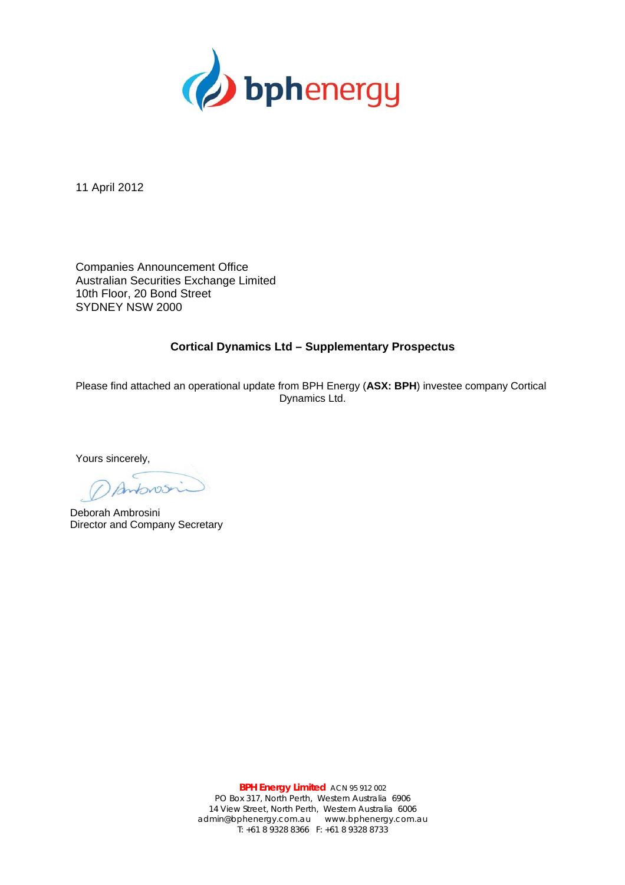

11 April 2012

Companies Announcement Office Australian Securities Exchange Limited 10th Floor, 20 Bond Street SYDNEY NSW 2000

## **Cortical Dynamics Ltd – Supplementary Prospectus**

Please find attached an operational update from BPH Energy (**ASX: BPH**) investee company Cortical Dynamics Ltd.

Yours sincerely,

Antonosi

Deborah Ambrosini Director and Company Secretary

**BPH Energy Limited** ACN 95 912 002 PO Box 317, North Perth, Western Australia 6906 14 View Street, North Perth, Western Australia 6006 admin@bphenergy.com.au www.bphenergy.com.au T: +61 8 9328 8366 F: +61 8 9328 8733